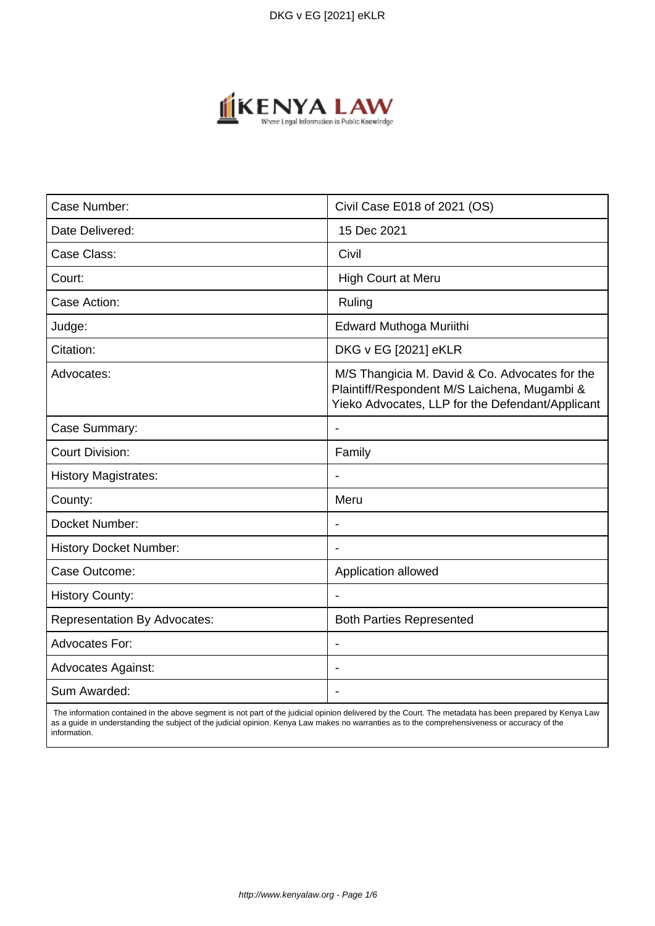

| Case Number:                        | Civil Case E018 of 2021 (OS)                                                                                                                       |
|-------------------------------------|----------------------------------------------------------------------------------------------------------------------------------------------------|
| Date Delivered:                     | 15 Dec 2021                                                                                                                                        |
| Case Class:                         | Civil                                                                                                                                              |
| Court:                              | <b>High Court at Meru</b>                                                                                                                          |
| Case Action:                        | Ruling                                                                                                                                             |
| Judge:                              | Edward Muthoga Muriithi                                                                                                                            |
| Citation:                           | DKG v EG [2021] eKLR                                                                                                                               |
| Advocates:                          | M/S Thangicia M. David & Co. Advocates for the<br>Plaintiff/Respondent M/S Laichena, Mugambi &<br>Yieko Advocates, LLP for the Defendant/Applicant |
| Case Summary:                       | $\overline{\phantom{a}}$                                                                                                                           |
| <b>Court Division:</b>              | Family                                                                                                                                             |
| <b>History Magistrates:</b>         |                                                                                                                                                    |
| County:                             | Meru                                                                                                                                               |
| Docket Number:                      | $\overline{\phantom{a}}$                                                                                                                           |
| <b>History Docket Number:</b>       |                                                                                                                                                    |
| Case Outcome:                       | Application allowed                                                                                                                                |
| <b>History County:</b>              |                                                                                                                                                    |
| <b>Representation By Advocates:</b> | <b>Both Parties Represented</b>                                                                                                                    |
| Advocates For:                      | $\overline{\phantom{a}}$                                                                                                                           |
| <b>Advocates Against:</b>           |                                                                                                                                                    |
| Sum Awarded:                        |                                                                                                                                                    |

 The information contained in the above segment is not part of the judicial opinion delivered by the Court. The metadata has been prepared by Kenya Law as a guide in understanding the subject of the judicial opinion. Kenya Law makes no warranties as to the comprehensiveness or accuracy of the information.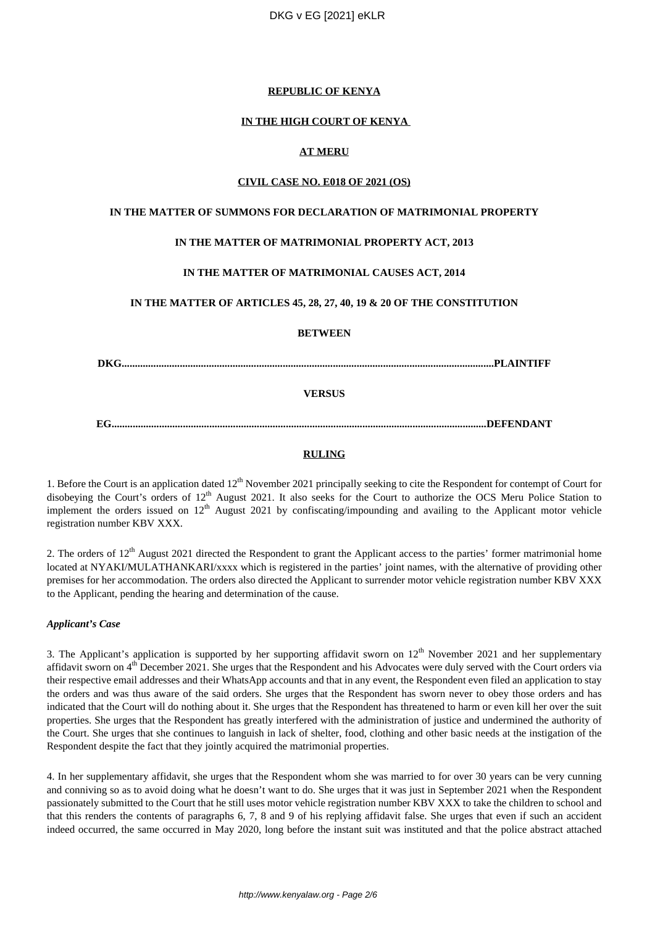## **REPUBLIC OF KENYA**

## **IN THE HIGH COURT OF KENYA**

## **AT MERU**

## **CIVIL CASE NO. E018 OF 2021 (OS)**

## **IN THE MATTER OF SUMMONS FOR DECLARATION OF MATRIMONIAL PROPERTY**

## **IN THE MATTER OF MATRIMONIAL PROPERTY ACT, 2013**

## **IN THE MATTER OF MATRIMONIAL CAUSES ACT, 2014**

## **IN THE MATTER OF ARTICLES 45, 28, 27, 40, 19 & 20 OF THE CONSTITUTION**

## **BETWEEN**

**DKG.............................................................................................................................................PLAINTIFF**

## **VERSUS**

## **EG..............................................................................................................................................DEFENDANT**

## **RULING**

1. Before the Court is an application dated 12<sup>th</sup> November 2021 principally seeking to cite the Respondent for contempt of Court for disobeying the Court's orders of 12<sup>th</sup> August 2021. It also seeks for the Court to authorize the OCS Meru Police Station to implement the orders issued on  $12<sup>th</sup>$  August 2021 by confiscating/impounding and availing to the Applicant motor vehicle registration number KBV XXX.

2. The orders of  $12<sup>th</sup>$  August 2021 directed the Respondent to grant the Applicant access to the parties' former matrimonial home located at NYAKI/MULATHANKARI/xxxx which is registered in the parties' joint names, with the alternative of providing other premises for her accommodation. The orders also directed the Applicant to surrender motor vehicle registration number KBV XXX to the Applicant, pending the hearing and determination of the cause.

## *Applicant's Case*

3. The Applicant's application is supported by her supporting affidavit sworn on  $12<sup>th</sup>$  November 2021 and her supplementary affidavit sworn on  $4<sup>th</sup>$  December 2021. She urges that the Respondent and his Advocates were duly served with the Court orders via their respective email addresses and their WhatsApp accounts and that in any event, the Respondent even filed an application to stay the orders and was thus aware of the said orders. She urges that the Respondent has sworn never to obey those orders and has indicated that the Court will do nothing about it. She urges that the Respondent has threatened to harm or even kill her over the suit properties. She urges that the Respondent has greatly interfered with the administration of justice and undermined the authority of the Court. She urges that she continues to languish in lack of shelter, food, clothing and other basic needs at the instigation of the Respondent despite the fact that they jointly acquired the matrimonial properties.

4. In her supplementary affidavit, she urges that the Respondent whom she was married to for over 30 years can be very cunning and conniving so as to avoid doing what he doesn't want to do. She urges that it was just in September 2021 when the Respondent passionately submitted to the Court that he still uses motor vehicle registration number KBV XXX to take the children to school and that this renders the contents of paragraphs 6, 7, 8 and 9 of his replying affidavit false. She urges that even if such an accident indeed occurred, the same occurred in May 2020, long before the instant suit was instituted and that the police abstract attached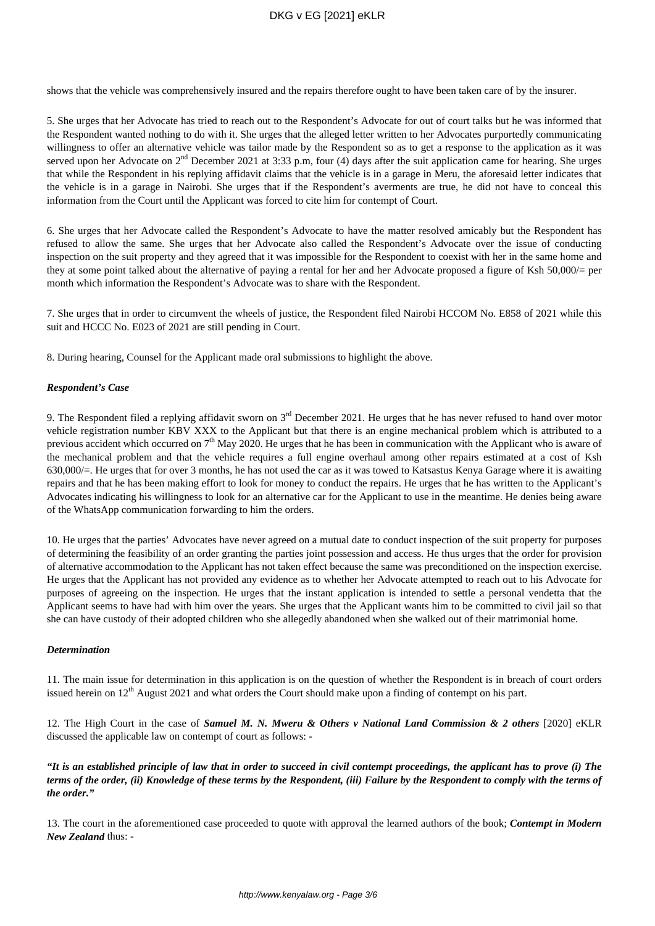shows that the vehicle was comprehensively insured and the repairs therefore ought to have been taken care of by the insurer.

5. She urges that her Advocate has tried to reach out to the Respondent's Advocate for out of court talks but he was informed that the Respondent wanted nothing to do with it. She urges that the alleged letter written to her Advocates purportedly communicating willingness to offer an alternative vehicle was tailor made by the Respondent so as to get a response to the application as it was served upon her Advocate on 2<sup>nd</sup> December 2021 at 3:33 p.m, four (4) days after the suit application came for hearing. She urges that while the Respondent in his replying affidavit claims that the vehicle is in a garage in Meru, the aforesaid letter indicates that the vehicle is in a garage in Nairobi. She urges that if the Respondent's averments are true, he did not have to conceal this information from the Court until the Applicant was forced to cite him for contempt of Court.

6. She urges that her Advocate called the Respondent's Advocate to have the matter resolved amicably but the Respondent has refused to allow the same. She urges that her Advocate also called the Respondent's Advocate over the issue of conducting inspection on the suit property and they agreed that it was impossible for the Respondent to coexist with her in the same home and they at some point talked about the alternative of paying a rental for her and her Advocate proposed a figure of Ksh 50,000/= per month which information the Respondent's Advocate was to share with the Respondent.

7. She urges that in order to circumvent the wheels of justice, the Respondent filed Nairobi HCCOM No. E858 of 2021 while this suit and HCCC No. E023 of 2021 are still pending in Court.

8. During hearing, Counsel for the Applicant made oral submissions to highlight the above.

#### *Respondent's Case*

9. The Respondent filed a replying affidavit sworn on 3rd December 2021. He urges that he has never refused to hand over motor vehicle registration number KBV XXX to the Applicant but that there is an engine mechanical problem which is attributed to a previous accident which occurred on  $7<sup>th</sup>$  May 2020. He urges that he has been in communication with the Applicant who is aware of the mechanical problem and that the vehicle requires a full engine overhaul among other repairs estimated at a cost of Ksh 630,000/=. He urges that for over 3 months, he has not used the car as it was towed to Katsastus Kenya Garage where it is awaiting repairs and that he has been making effort to look for money to conduct the repairs. He urges that he has written to the Applicant's Advocates indicating his willingness to look for an alternative car for the Applicant to use in the meantime. He denies being aware of the WhatsApp communication forwarding to him the orders.

10. He urges that the parties' Advocates have never agreed on a mutual date to conduct inspection of the suit property for purposes of determining the feasibility of an order granting the parties joint possession and access. He thus urges that the order for provision of alternative accommodation to the Applicant has not taken effect because the same was preconditioned on the inspection exercise. He urges that the Applicant has not provided any evidence as to whether her Advocate attempted to reach out to his Advocate for purposes of agreeing on the inspection. He urges that the instant application is intended to settle a personal vendetta that the Applicant seems to have had with him over the years. She urges that the Applicant wants him to be committed to civil jail so that she can have custody of their adopted children who she allegedly abandoned when she walked out of their matrimonial home.

## *Determination*

11. The main issue for determination in this application is on the question of whether the Respondent is in breach of court orders issued herein on  $12<sup>th</sup>$  August 2021 and what orders the Court should make upon a finding of contempt on his part.

12. The High Court in the case of *Samuel M. N. Mweru & Others v National Land Commission & 2 others* [2020] eKLR discussed the applicable law on contempt of court as follows: -

*"It is an established principle of law that in order to succeed in civil contempt proceedings, the applicant has to prove (i) The terms of the order, (ii) Knowledge of these terms by the Respondent, (iii) Failure by the Respondent to comply with the terms of the order."*

13. The court in the aforementioned case proceeded to quote with approval the learned authors of the book; *Contempt in Modern New Zealand* thus: -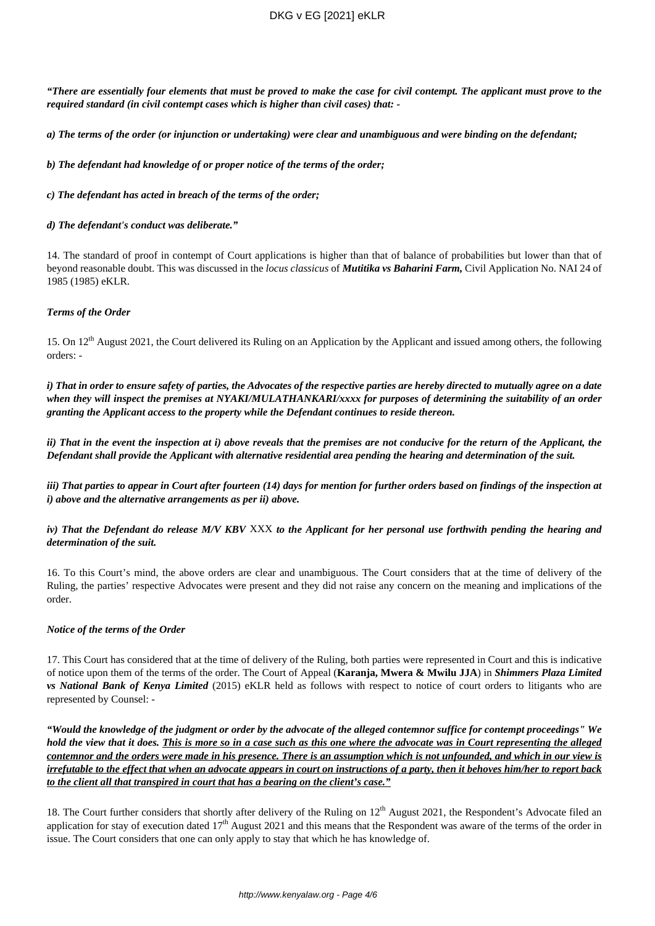*"There are essentially four elements that must be proved to make the case for civil contempt. The applicant must prove to the required standard (in civil contempt cases which is higher than civil cases) that: -*

*a) The terms of the order (or injunction or undertaking) were clear and unambiguous and were binding on the defendant;*

*b) The defendant had knowledge of or proper notice of the terms of the order;*

*c) The defendant has acted in breach of the terms of the order;*

#### *d) The defendant's conduct was deliberate."*

14. The standard of proof in contempt of Court applications is higher than that of balance of probabilities but lower than that of beyond reasonable doubt. This was discussed in the *locus classicus* of *Mutitika vs Baharini Farm,* Civil Application No. NAI 24 of 1985 (1985) eKLR.

## *Terms of the Order*

15. On  $12<sup>th</sup>$  August 2021, the Court delivered its Ruling on an Application by the Applicant and issued among others, the following orders: -

*i) That in order to ensure safety of parties, the Advocates of the respective parties are hereby directed to mutually agree on a date when they will inspect the premises at NYAKI/MULATHANKARI/xxxx for purposes of determining the suitability of an order granting the Applicant access to the property while the Defendant continues to reside thereon.*

*ii) That in the event the inspection at i) above reveals that the premises are not conducive for the return of the Applicant, the Defendant shall provide the Applicant with alternative residential area pending the hearing and determination of the suit.*

*iii) That parties to appear in Court after fourteen (14) days for mention for further orders based on findings of the inspection at i) above and the alternative arrangements as per ii) above.*

*iv) That the Defendant do release M/V KBV* XXX *to the Applicant for her personal use forthwith pending the hearing and determination of the suit.*

16. To this Court's mind, the above orders are clear and unambiguous. The Court considers that at the time of delivery of the Ruling, the parties' respective Advocates were present and they did not raise any concern on the meaning and implications of the order.

## *Notice of the terms of the Order*

17. This Court has considered that at the time of delivery of the Ruling, both parties were represented in Court and this is indicative of notice upon them of the terms of the order. The Court of Appeal (**Karanja, Mwera & Mwilu JJA**) in *Shimmers Plaza Limited vs National Bank of Kenya Limited* (2015) eKLR held as follows with respect to notice of court orders to litigants who are represented by Counsel: -

*"Would the knowledge of the judgment or order by the advocate of the alleged contemnor suffice for contempt proceedings" We hold the view that it does. This is more so in a case such as this one where the advocate was in Court representing the alleged contemnor and the orders were made in his presence. There is an assumption which is not unfounded, and which in our view is irrefutable to the effect that when an advocate appears in court on instructions of a party, then it behoves him/her to report back to the client all that transpired in court that has a bearing on the client's case."*

18. The Court further considers that shortly after delivery of the Ruling on  $12<sup>th</sup>$  August 2021, the Respondent's Advocate filed an application for stay of execution dated  $17<sup>th</sup>$  August 2021 and this means that the Respondent was aware of the terms of the order in issue. The Court considers that one can only apply to stay that which he has knowledge of.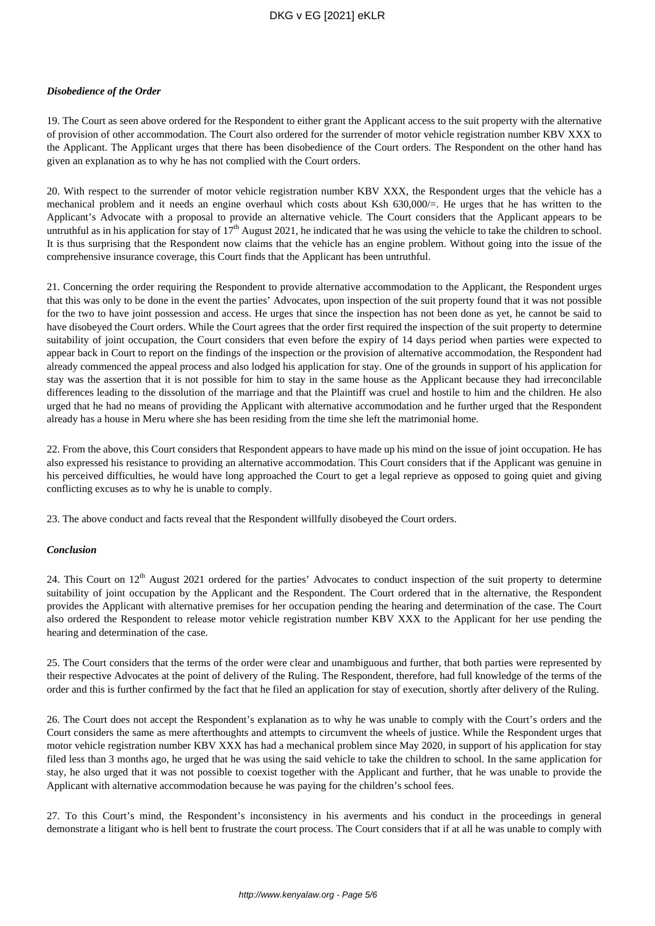## DKG v EG [2021] eKLR

#### *Disobedience of the Order*

19. The Court as seen above ordered for the Respondent to either grant the Applicant access to the suit property with the alternative of provision of other accommodation. The Court also ordered for the surrender of motor vehicle registration number KBV XXX to the Applicant. The Applicant urges that there has been disobedience of the Court orders. The Respondent on the other hand has given an explanation as to why he has not complied with the Court orders.

20. With respect to the surrender of motor vehicle registration number KBV XXX, the Respondent urges that the vehicle has a mechanical problem and it needs an engine overhaul which costs about Ksh 630,000/=. He urges that he has written to the Applicant's Advocate with a proposal to provide an alternative vehicle. The Court considers that the Applicant appears to be untruthful as in his application for stay of  $17<sup>th</sup>$  August 2021, he indicated that he was using the vehicle to take the children to school. It is thus surprising that the Respondent now claims that the vehicle has an engine problem. Without going into the issue of the comprehensive insurance coverage, this Court finds that the Applicant has been untruthful.

21. Concerning the order requiring the Respondent to provide alternative accommodation to the Applicant, the Respondent urges that this was only to be done in the event the parties' Advocates, upon inspection of the suit property found that it was not possible for the two to have joint possession and access. He urges that since the inspection has not been done as yet, he cannot be said to have disobeyed the Court orders. While the Court agrees that the order first required the inspection of the suit property to determine suitability of joint occupation, the Court considers that even before the expiry of 14 days period when parties were expected to appear back in Court to report on the findings of the inspection or the provision of alternative accommodation, the Respondent had already commenced the appeal process and also lodged his application for stay. One of the grounds in support of his application for stay was the assertion that it is not possible for him to stay in the same house as the Applicant because they had irreconcilable differences leading to the dissolution of the marriage and that the Plaintiff was cruel and hostile to him and the children. He also urged that he had no means of providing the Applicant with alternative accommodation and he further urged that the Respondent already has a house in Meru where she has been residing from the time she left the matrimonial home.

22. From the above, this Court considers that Respondent appears to have made up his mind on the issue of joint occupation. He has also expressed his resistance to providing an alternative accommodation. This Court considers that if the Applicant was genuine in his perceived difficulties, he would have long approached the Court to get a legal reprieve as opposed to going quiet and giving conflicting excuses as to why he is unable to comply.

23. The above conduct and facts reveal that the Respondent willfully disobeyed the Court orders.

#### *Conclusion*

24. This Court on  $12<sup>th</sup>$  August 2021 ordered for the parties' Advocates to conduct inspection of the suit property to determine suitability of joint occupation by the Applicant and the Respondent. The Court ordered that in the alternative, the Respondent provides the Applicant with alternative premises for her occupation pending the hearing and determination of the case. The Court also ordered the Respondent to release motor vehicle registration number KBV XXX to the Applicant for her use pending the hearing and determination of the case.

25. The Court considers that the terms of the order were clear and unambiguous and further, that both parties were represented by their respective Advocates at the point of delivery of the Ruling. The Respondent, therefore, had full knowledge of the terms of the order and this is further confirmed by the fact that he filed an application for stay of execution, shortly after delivery of the Ruling.

26. The Court does not accept the Respondent's explanation as to why he was unable to comply with the Court's orders and the Court considers the same as mere afterthoughts and attempts to circumvent the wheels of justice. While the Respondent urges that motor vehicle registration number KBV XXX has had a mechanical problem since May 2020, in support of his application for stay filed less than 3 months ago, he urged that he was using the said vehicle to take the children to school. In the same application for stay, he also urged that it was not possible to coexist together with the Applicant and further, that he was unable to provide the Applicant with alternative accommodation because he was paying for the children's school fees.

27. To this Court's mind, the Respondent's inconsistency in his averments and his conduct in the proceedings in general demonstrate a litigant who is hell bent to frustrate the court process. The Court considers that if at all he was unable to comply with